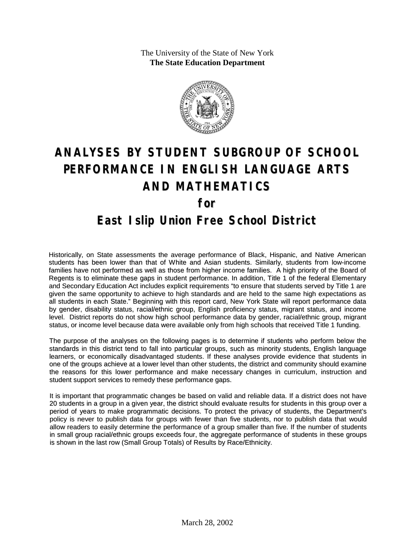The University of the State of New York **The State Education Department**



# **ANALYSES BY STUDENT SUBGROUP OF SCHOOL PERFORMANCE IN ENGLISH LANGUAGE ARTS AND MATHEMATICS for East Islip Union Free School District**

Historically, on State assessments the average performance of Black, Hispanic, and Native American students has been lower than that of White and Asian students. Similarly, students from low-income families have not performed as well as those from higher income families. A high priority of the Board of Regents is to eliminate these gaps in student performance. In addition, Title 1 of the federal Elementary and Secondary Education Act includes explicit requirements "to ensure that students served by Title 1 are given the same opportunity to achieve to high standards and are held to the same high expectations as all students in each State." Beginning with this report card, New York State will report performance data by gender, disability status, racial/ethnic group, English proficiency status, migrant status, and income level. District reports do not show high school performance data by gender, racial/ethnic group, migrant status, or income level because data were available only from high schools that received Title 1 funding.

The purpose of the analyses on the following pages is to determine if students who perform below the standards in this district tend to fall into particular groups, such as minority students, English language learners, or economically disadvantaged students. If these analyses provide evidence that students in one of the groups achieve at a lower level than other students, the district and community should examine the reasons for this lower performance and make necessary changes in curriculum, instruction and student support services to remedy these performance gaps.

It is important that programmatic changes be based on valid and reliable data. If a district does not have 20 students in a group in a given year, the district should evaluate results for students in this group over a period of years to make programmatic decisions. To protect the privacy of students, the Department's policy is never to publish data for groups with fewer than five students, nor to publish data that would allow readers to easily determine the performance of a group smaller than five. If the number of students in small group racial/ethnic groups exceeds four, the aggregate performance of students in these groups is shown in the last row (Small Group Totals) of Results by Race/Ethnicity.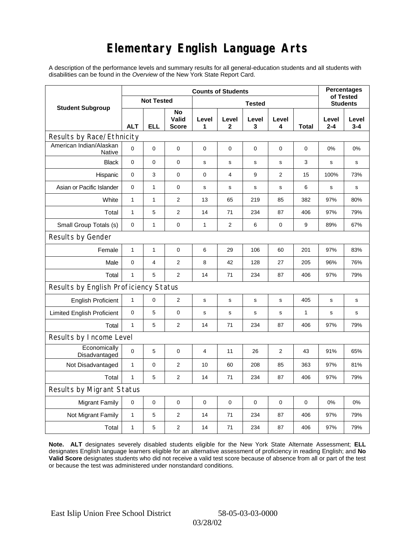## **Elementary English Language Arts**

A description of the performance levels and summary results for all general-education students and all students with disabilities can be found in the *Overview* of the New York State Report Card.

|                                          |              | <b>Percentages</b><br>of Tested |                             |             |                |              |                 |              |                  |                  |  |
|------------------------------------------|--------------|---------------------------------|-----------------------------|-------------|----------------|--------------|-----------------|--------------|------------------|------------------|--|
| <b>Student Subgroup</b>                  |              | <b>Not Tested</b>               |                             |             |                |              | <b>Students</b> |              |                  |                  |  |
|                                          | <b>ALT</b>   | ELL                             | No<br>Valid<br><b>Score</b> | Level<br>1  | Level<br>2     | Level<br>3   | Level<br>4      | Total        | Level<br>$2 - 4$ | Level<br>$3 - 4$ |  |
| Results by Race/Ethnicity                |              |                                 |                             |             |                |              |                 |              |                  |                  |  |
| American Indian/Alaskan<br><b>Native</b> | $\mathbf 0$  | 0                               | 0                           | $\mathbf 0$ | $\mathbf 0$    | $\mathbf 0$  | 0               | 0            | 0%               | 0%               |  |
| <b>Black</b>                             | $\mathbf 0$  | 0                               | 0                           | s           | s              | S            | s               | 3            | $\mathbf s$      | s                |  |
| Hispanic                                 | $\mathbf 0$  | 3                               | $\pmb{0}$                   | $\pmb{0}$   | 4              | 9            | $\overline{2}$  | 15           | 100%             | 73%              |  |
| Asian or Pacific Islander                | 0            | 1                               | 0                           | s           | s              | $\mathbf s$  | s               | 6            | $\mathbf s$      | s                |  |
| White                                    | $\mathbf{1}$ | $\mathbf{1}$                    | $\overline{2}$              | 13          | 65             | 219          | 85              | 382          | 97%              | 80%              |  |
| Total                                    | $\mathbf{1}$ | 5                               | $\overline{2}$              | 14          | 71             | 234          | 87              | 406          | 97%              | 79%              |  |
| Small Group Totals (s)                   | 0            | 1                               | 0                           | 1           | $\overline{c}$ | 6            | 0               | 9            | 89%              | 67%              |  |
| Results by Gender                        |              |                                 |                             |             |                |              |                 |              |                  |                  |  |
| Female                                   | $\mathbf{1}$ | $\mathbf 1$                     | 0                           | 6           | 29             | 106          | 60              | 201          | 97%              | 83%              |  |
| Male                                     | $\mathbf 0$  | 4                               | $\overline{2}$              | 8           | 42             | 128          | 27              | 205          | 96%              | 76%              |  |
| Total                                    | $\mathbf{1}$ | 5                               | 2                           | 14          | 71             | 234          | 87              | 406          | 97%              | 79%              |  |
| Results by English Proficiency Status    |              |                                 |                             |             |                |              |                 |              |                  |                  |  |
| <b>English Proficient</b>                | $\mathbf{1}$ | 0                               | $\overline{2}$              | s           | s              | s            | s               | 405          | s                | $\mathbf s$      |  |
| <b>Limited English Proficient</b>        | 0            | 5                               | $\pmb{0}$                   | s           | $\mathsf{s}$   | $\mathsf{s}$ | s               | $\mathbf{1}$ | s                | s                |  |
| Total                                    | $\mathbf{1}$ | 5                               | $\overline{2}$              | 14          | 71             | 234          | 87              | 406          | 97%              | 79%              |  |
| Results by Income Level                  |              |                                 |                             |             |                |              |                 |              |                  |                  |  |
| Economically<br>Disadvantaged            | $\mathbf 0$  | 5                               | $\mathbf 0$                 | 4           | 11             | 26           | $\overline{2}$  | 43           | 91%              | 65%              |  |
| Not Disadvantaged                        | 1            | 0                               | $\overline{2}$              | 10          | 60             | 208          | 85              | 363          | 97%              | 81%              |  |
| Total                                    | $\mathbf{1}$ | 5                               | $\mathbf{2}$                | 14          | 71             | 234          | 87              | 406          | 97%              | 79%              |  |
| Results by Migrant Status                |              |                                 |                             |             |                |              |                 |              |                  |                  |  |
| <b>Migrant Family</b>                    | 0            | 0                               | 0                           | 0           | 0              | $\mathbf 0$  | 0               | 0            | 0%               | 0%               |  |
| Not Migrant Family                       | $\mathbf{1}$ | 5                               | 2                           | 14          | 71             | 234          | 87              | 406          | 97%              | 79%              |  |
| Total                                    | $\mathbf{1}$ | 5                               | 2                           | 14          | 71             | 234          | 87              | 406          | 97%              | 79%              |  |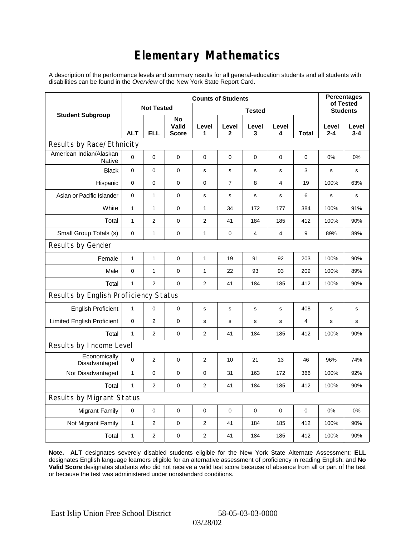## **Elementary Mathematics**

A description of the performance levels and summary results for all general-education students and all students with disabilities can be found in the *Overview* of the New York State Report Card.

| <b>Counts of Students</b>                |              |                   |                             |                |                |             |                 |              | <b>Percentages</b><br>of Tested |                  |
|------------------------------------------|--------------|-------------------|-----------------------------|----------------|----------------|-------------|-----------------|--------------|---------------------------------|------------------|
| <b>Student Subgroup</b>                  |              | <b>Not Tested</b> |                             |                |                |             | <b>Students</b> |              |                                 |                  |
|                                          | <b>ALT</b>   | <b>ELL</b>        | No<br>Valid<br><b>Score</b> | Level<br>1     | Level<br>2     | Level<br>3  | Level<br>4      | <b>Total</b> | Level<br>$2 - 4$                | Level<br>$3 - 4$ |
| Results by Race/Ethnicity                |              |                   |                             |                |                |             |                 |              |                                 |                  |
| American Indian/Alaskan<br><b>Native</b> | 0            | $\mathbf 0$       | $\mathbf 0$                 | 0              | 0              | 0           | 0               | 0            | 0%                              | 0%               |
| <b>Black</b>                             | 0            | 0                 | $\pmb{0}$                   | $\mathbf s$    | $\mathbf s$    | s           | $\mathbf s$     | 3            | s                               | s                |
| Hispanic                                 | 0            | 0                 | $\mathbf 0$                 | $\mathbf 0$    | $\overline{7}$ | 8           | 4               | 19           | 100%                            | 63%              |
| Asian or Pacific Islander                | $\mathbf 0$  | $\mathbf{1}$      | $\mathbf 0$                 | s              | s              | $\mathbf s$ | $\mathbf s$     | 6            | s                               | s                |
| White                                    | $\mathbf{1}$ | $\mathbf{1}$      | 0                           | 1              | 34             | 172         | 177             | 384          | 100%                            | 91%              |
| Total                                    | $\mathbf{1}$ | $\overline{2}$    | $\pmb{0}$                   | $\overline{2}$ | 41             | 184         | 185             | 412          | 100%                            | 90%              |
| Small Group Totals (s)                   | 0            | $\mathbf{1}$      | $\mathbf 0$                 | 1              | $\mathbf 0$    | 4           | 4               | 9            | 89%                             | 89%              |
| Results by Gender                        |              |                   |                             |                |                |             |                 |              |                                 |                  |
| Female                                   | $\mathbf{1}$ | $\mathbf{1}$      | $\pmb{0}$                   | 1              | 19             | 91          | 92              | 203          | 100%                            | 90%              |
| Male                                     | $\mathbf 0$  | $\mathbf{1}$      | $\mathbf 0$                 | 1              | 22             | 93          | 93              | 209          | 100%                            | 89%              |
| Total                                    | $\mathbf{1}$ | $\overline{2}$    | $\mathbf 0$                 | $\overline{2}$ | 41             | 184         | 185             | 412          | 100%                            | 90%              |
| Results by English Proficiency Status    |              |                   |                             |                |                |             |                 |              |                                 |                  |
| <b>English Proficient</b>                | $\mathbf{1}$ | 0                 | $\mathbf 0$                 | s              | S              | s           | s               | 408          | s                               | $\mathbf s$      |
| <b>Limited English Proficient</b>        | 0            | $\overline{2}$    | $\mathbf 0$                 | s              | ${\tt S}$      | s           | s               | 4            | s                               | s                |
| Total                                    | $\mathbf{1}$ | $\overline{2}$    | $\mathbf 0$                 | 2              | 41             | 184         | 185             | 412          | 100%                            | 90%              |
| Results by Income Level                  |              |                   |                             |                |                |             |                 |              |                                 |                  |
| Economically<br>Disadvantaged            | 0            | $\overline{c}$    | $\mathbf 0$                 | $\overline{2}$ | 10             | 21          | 13              | 46           | 96%                             | 74%              |
| Not Disadvantaged                        | 1            | 0                 | $\mathbf 0$                 | $\mathbf 0$    | 31             | 163         | 172             | 366          | 100%                            | 92%              |
| Total                                    | $\mathbf{1}$ | $\overline{2}$    | 0                           | $\overline{2}$ | 41             | 184         | 185             | 412          | 100%                            | 90%              |
| Results by Migrant Status                |              |                   |                             |                |                |             |                 |              |                                 |                  |
| <b>Migrant Family</b>                    | $\mathbf 0$  | 0                 | $\pmb{0}$                   | 0              | $\mathbf 0$    | 0           | $\mathbf 0$     | $\mathbf 0$  | 0%                              | 0%               |
| Not Migrant Family                       | 1            | 2                 | 0                           | $\overline{c}$ | 41             | 184         | 185             | 412          | 100%                            | 90%              |
| Total                                    | 1            | $\overline{2}$    | 0                           | 2              | 41             | 184         | 185             | 412          | 100%                            | 90%              |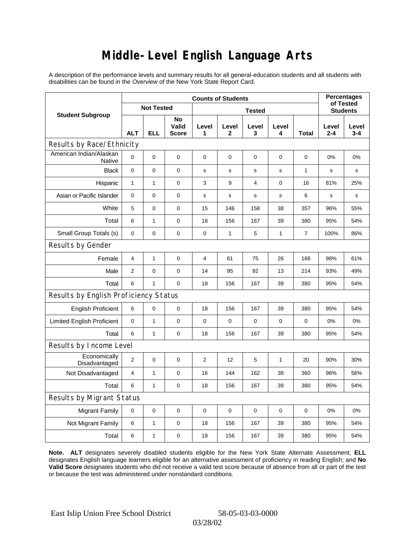### **Middle-Level English Language Arts**

A description of the performance levels and summary results for all general-education students and all students with disabilities can be found in the *Overview* of the New York State Report Card.

|                                       | <b>Counts of Students</b> |                   |                             |                |              |             |             |              | <b>Percentages</b><br>of Tested |                  |
|---------------------------------------|---------------------------|-------------------|-----------------------------|----------------|--------------|-------------|-------------|--------------|---------------------------------|------------------|
| <b>Student Subgroup</b>               |                           | <b>Not Tested</b> |                             | <b>Tested</b>  |              |             |             |              |                                 | <b>Students</b>  |
|                                       | <b>ALT</b>                | <b>ELL</b>        | No<br>Valid<br><b>Score</b> | Level<br>1     | Level<br>2   | Level<br>3  | Level<br>4  | Total        | Level<br>2-4                    | Level<br>$3 - 4$ |
| Results by Race/Ethnicity             |                           |                   |                             |                |              |             |             |              |                                 |                  |
| American Indian/Alaskan<br>Native     | 0                         | $\mathbf 0$       | $\mathbf 0$                 | $\mathbf 0$    | $\mathbf 0$  | 0           | $\mathbf 0$ | $\mathbf 0$  | 0%                              | 0%               |
| <b>Black</b>                          | 0                         | 0                 | 0                           | s              | s            | s           | $\mathbf s$ | $\mathbf{1}$ | s                               | s                |
| Hispanic                              | 1                         | 1                 | 0                           | 3              | 9            | 4           | 0           | 16           | 81%                             | 25%              |
| Asian or Pacific Islander             | $\mathbf 0$               | 0                 | 0                           | $\mathbf s$    | $\mathbf S$  | $\mathbf s$ | s           | 6            | $\mathbf s$                     | s                |
| White                                 | 5                         | 0                 | $\pmb{0}$                   | 15             | 146          | 158         | 38          | 357          | 96%                             | 55%              |
| Total                                 | 6                         | $\mathbf{1}$      | $\pmb{0}$                   | 18             | 156          | 167         | 39          | 380          | 95%                             | 54%              |
| Small Group Totals (s)                | 0                         | 0                 | 0                           | 0              | $\mathbf{1}$ | 5           | 1           | 7            | 100%                            | 86%              |
| Results by Gender                     |                           |                   |                             |                |              |             |             |              |                                 |                  |
| Female                                | $\overline{4}$            | $\mathbf{1}$      | $\pmb{0}$                   | $\overline{4}$ | 61           | 75          | 26          | 166          | 98%                             | 61%              |
| Male                                  | $\overline{2}$            | 0                 | $\pmb{0}$                   | 14             | 95           | 92          | 13          | 214          | 93%                             | 49%              |
| Total                                 | 6                         | 1                 | 0                           | 18             | 156          | 167         | 39          | 380          | 95%                             | 54%              |
| Results by English Proficiency Status |                           |                   |                             |                |              |             |             |              |                                 |                  |
| <b>English Proficient</b>             | 6                         | 0                 | $\pmb{0}$                   | 18             | 156          | 167         | 39          | 380          | 95%                             | 54%              |
| <b>Limited English Proficient</b>     | 0                         | 1                 | $\pmb{0}$                   | 0              | $\mathbf 0$  | 0           | 0           | 0            | 0%                              | 0%               |
| Total                                 | 6                         | $\mathbf{1}$      | $\pmb{0}$                   | 18             | 156          | 167         | 39          | 380          | 95%                             | 54%              |
| Results by Income Level               |                           |                   |                             |                |              |             |             |              |                                 |                  |
| Economically<br>Disadvantaged         | $\overline{2}$            | 0                 | $\mathbf 0$                 | $\overline{2}$ | 12           | 5           | 1           | 20           | 90%                             | 30%              |
| Not Disadvantaged                     | $\overline{4}$            | 1                 | 0                           | 16             | 144          | 162         | 38          | 360          | 96%                             | 56%              |
| Total                                 | 6                         | $\mathbf{1}$      | $\pmb{0}$                   | 18             | 156          | 167         | 39          | 380          | 95%                             | 54%              |
| Results by Migrant Status             |                           |                   |                             |                |              |             |             |              |                                 |                  |
| <b>Migrant Family</b>                 | 0                         | 0                 | 0                           | 0              | 0            | 0           | 0           | 0            | 0%                              | 0%               |
| Not Migrant Family                    | 6                         | $\mathbf{1}$      | 0                           | 18             | 156          | 167         | 39          | 380          | 95%                             | 54%              |
| Total                                 | 6                         | 1                 | 0                           | 18             | 156          | 167         | 39          | 380          | 95%                             | 54%              |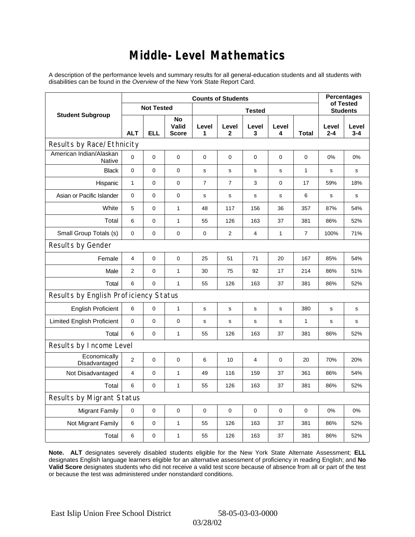### **Middle-Level Mathematics**

A description of the performance levels and summary results for all general-education students and all students with disabilities can be found in the *Overview* of the New York State Report Card.

|                                       | <b>Counts of Students</b> |                   |                             |                |                       |             |                 |                | <b>Percentages</b><br>of Tested |                  |
|---------------------------------------|---------------------------|-------------------|-----------------------------|----------------|-----------------------|-------------|-----------------|----------------|---------------------------------|------------------|
| <b>Student Subgroup</b>               |                           | <b>Not Tested</b> |                             |                |                       |             | <b>Students</b> |                |                                 |                  |
|                                       | <b>ALT</b>                | <b>ELL</b>        | No<br>Valid<br><b>Score</b> | Level<br>1     | Level<br>$\mathbf{2}$ | Level<br>3  | Level<br>4      | <b>Total</b>   | Level<br>$2 - 4$                | Level<br>$3 - 4$ |
| Results by Race/Ethnicity             |                           |                   |                             |                |                       |             |                 |                |                                 |                  |
| American Indian/Alaskan<br>Native     | 0                         | $\overline{0}$    | $\mathbf 0$                 | $\mathbf 0$    | 0                     | 0           | 0               | 0              | $0\%$                           | 0%               |
| <b>Black</b>                          | 0                         | 0                 | 0                           | $\mathbf s$    | $\mathbf s$           | s           | $\mathbf s$     | $\mathbf{1}$   | s                               | s                |
| Hispanic                              | $\mathbf{1}$              | 0                 | $\pmb{0}$                   | $\overline{7}$ | $\overline{7}$        | 3           | $\mathbf 0$     | 17             | 59%                             | 18%              |
| Asian or Pacific Islander             | $\mathbf 0$               | 0                 | $\mathbf 0$                 | $\mathbf s$    | $\mathbf s$           | s           | $\mathbf s$     | 6              | s                               | $\mathbf s$      |
| White                                 | 5                         | $\overline{0}$    | $\mathbf{1}$                | 48             | 117                   | 156         | 36              | 357            | 87%                             | 54%              |
| Total                                 | 6                         | 0                 | $\mathbf{1}$                | 55             | 126                   | 163         | 37              | 381            | 86%                             | 52%              |
| Small Group Totals (s)                | $\mathbf 0$               | 0                 | 0                           | 0              | $\overline{2}$        | 4           | 1               | $\overline{7}$ | 100%                            | 71%              |
| Results by Gender                     |                           |                   |                             |                |                       |             |                 |                |                                 |                  |
| Female                                | $\overline{4}$            | 0                 | $\pmb{0}$                   | 25             | 51                    | 71          | 20              | 167            | 85%                             | 54%              |
| Male                                  | 2                         | 0                 | $\mathbf{1}$                | 30             | 75                    | 92          | 17              | 214            | 86%                             | 51%              |
| Total                                 | 6                         | 0                 | $\mathbf{1}$                | 55             | 126                   | 163         | 37              | 381            | 86%                             | 52%              |
| Results by English Proficiency Status |                           |                   |                             |                |                       |             |                 |                |                                 |                  |
| <b>English Proficient</b>             | 6                         | 0                 | $\mathbf{1}$                | $\mathbf s$    | s                     | s           | s               | 380            | s                               | s                |
| <b>Limited English Proficient</b>     | 0                         | 0                 | $\pmb{0}$                   | s              | $\mathsf{s}$          | $\mathbf s$ | s               | $\mathbf{1}$   | s                               | s                |
| Total                                 | 6                         | 0                 | $\mathbf{1}$                | 55             | 126                   | 163         | 37              | 381            | 86%                             | 52%              |
| Results by Income Level               |                           |                   |                             |                |                       |             |                 |                |                                 |                  |
| Economically<br>Disadvantaged         | $\overline{2}$            | 0                 | $\mathbf 0$                 | 6              | 10                    | 4           | 0               | 20             | 70%                             | 20%              |
| Not Disadvantaged                     | 4                         | 0                 | $\mathbf{1}$                | 49             | 116                   | 159         | 37              | 361            | 86%                             | 54%              |
| Total                                 | 6                         | $\mathbf 0$       | $\mathbf{1}$                | 55             | 126                   | 163         | 37              | 381            | 86%                             | 52%              |
| Results by Migrant Status             |                           |                   |                             |                |                       |             |                 |                |                                 |                  |
| <b>Migrant Family</b>                 | $\mathbf 0$               | 0                 | $\pmb{0}$                   | 0              | $\mathbf 0$           | 0           | 0               | 0              | 0%                              | 0%               |
| Not Migrant Family                    | 6                         | 0                 | $\mathbf{1}$                | 55             | 126                   | 163         | 37              | 381            | 86%                             | 52%              |
| Total                                 | 6                         | 0                 | $\mathbf{1}$                | 55             | 126                   | 163         | 37              | 381            | 86%                             | 52%              |